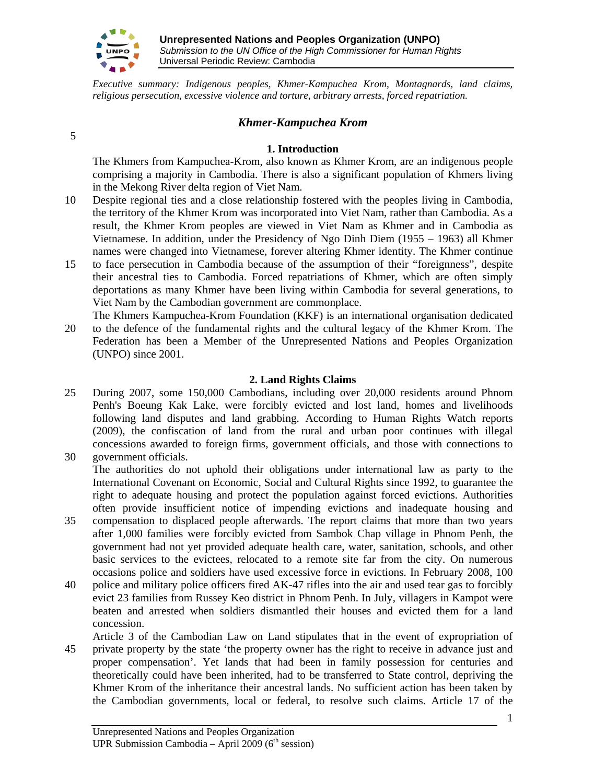

*Executive summary: Indigenous peoples, Khmer-Kampuchea Krom, Montagnards, land claims, religious persecution, excessive violence and torture, arbitrary arrests, forced repatriation.*

## *Khmer-Kampuchea Krom*

## 5

#### **1. Introduction**

The Khmers from Kampuchea-Krom, also known as Khmer Krom, are an indigenous people comprising a majority in Cambodia. There is also a significant population of Khmers living in the Mekong River delta region of Viet Nam.

- 10 Despite regional ties and a close relationship fostered with the peoples living in Cambodia, the territory of the Khmer Krom was incorporated into Viet Nam, rather than Cambodia. As a result, the Khmer Krom peoples are viewed in Viet Nam as Khmer and in Cambodia as Vietnamese. In addition, under the Presidency of Ngo Dinh Diem (1955 – 1963) all Khmer names were changed into Vietnamese, forever altering Khmer identity. The Khmer continue
- 15 to face persecution in Cambodia because of the assumption of their "foreignness", despite their ancestral ties to Cambodia. Forced repatriations of Khmer, which are often simply deportations as many Khmer have been living within Cambodia for several generations, to Viet Nam by the Cambodian government are commonplace.

The Khmers Kampuchea-Krom Foundation (KKF) is an international organisation dedicated 20 to the defence of the fundamental rights and the cultural legacy of the Khmer Krom. The Federation has been a Member of the Unrepresented Nations and Peoples Organization (UNPO) since 2001.

#### **2. Land Rights Claims**

25 During 2007, some 150,000 Cambodians, including over 20,000 residents around Phnom Penh's Boeung Kak Lake, were forcibly evicted and lost land, homes and livelihoods following land disputes and land grabbing. According to Human Rights Watch reports (2009), the confiscation of land from the rural and urban poor continues with illegal concessions awarded to foreign firms, government officials, and those with connections to 30 government officials.

The authorities do not uphold their obligations under international law as party to the International Covenant on Economic, Social and Cultural Rights since 1992, to guarantee the right to adequate housing and protect the population against forced evictions. Authorities often provide insufficient notice of impending evictions and inadequate housing and

- 35 compensation to displaced people afterwards. The report claims that more than two years after 1,000 families were forcibly evicted from Sambok Chap village in Phnom Penh, the government had not yet provided adequate health care, water, sanitation, schools, and other basic services to the evictees, relocated to a remote site far from the city. On numerous occasions police and soldiers have used excessive force in evictions. In February 2008, 100
- 40 police and military police officers fired AK-47 rifles into the air and used tear gas to forcibly evict 23 families from Russey Keo district in Phnom Penh. In July, villagers in Kampot were beaten and arrested when soldiers dismantled their houses and evicted them for a land concession.
- Article 3 of the Cambodian Law on Land stipulates that in the event of expropriation of 45 private property by the state 'the property owner has the right to receive in advance just and proper compensation'. Yet lands that had been in family possession for centuries and theoretically could have been inherited, had to be transferred to State control, depriving the Khmer Krom of the inheritance their ancestral lands. No sufficient action has been taken by the Cambodian governments, local or federal, to resolve such claims. Article 17 of the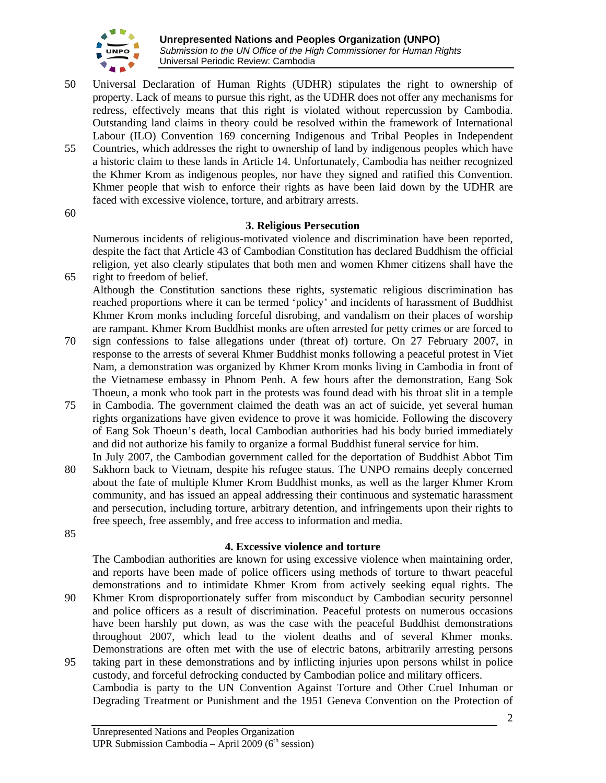

- 50 Universal Declaration of Human Rights (UDHR) stipulates the right to ownership of property. Lack of means to pursue this right, as the UDHR does not offer any mechanisms for redress, effectively means that this right is violated without repercussion by Cambodia. Outstanding land claims in theory could be resolved within the framework of International Labour (ILO) Convention 169 concerning Indigenous and Tribal Peoples in Independent 55 Countries, which addresses the right to ownership of land by indigenous peoples which have a historic claim to these lands in Article 14. Unfortunately, Cambodia has neither recognized
	- the Khmer Krom as indigenous peoples, nor have they signed and ratified this Convention. Khmer people that wish to enforce their rights as have been laid down by the UDHR are faced with excessive violence, torture, and arbitrary arrests.

60

#### **3. Religious Persecution**

Numerous incidents of religious-motivated violence and discrimination have been reported, despite the fact that Article 43 of Cambodian Constitution has declared Buddhism the official religion, yet also clearly stipulates that both men and women Khmer citizens shall have the 65 right to freedom of belief.

Although the Constitution sanctions these rights, systematic religious discrimination has reached proportions where it can be termed 'policy' and incidents of harassment of Buddhist Khmer Krom monks including forceful disrobing, and vandalism on their places of worship are rampant. Khmer Krom Buddhist monks are often arrested for petty crimes or are forced to

- 70 sign confessions to false allegations under (threat of) torture. On 27 February 2007, in response to the arrests of several Khmer Buddhist monks following a peaceful protest in Viet Nam, a demonstration was organized by Khmer Krom monks living in Cambodia in front of the Vietnamese embassy in Phnom Penh. A few hours after the demonstration, Eang Sok Thoeun, a monk who took part in the protests was found dead with his throat slit in a temple
- 75 in Cambodia. The government claimed the death was an act of suicide, yet several human rights organizations have given evidence to prove it was homicide. Following the discovery of Eang Sok Thoeun's death, local Cambodian authorities had his body buried immediately and did not authorize his family to organize a formal Buddhist funeral service for him.
- In July 2007, the Cambodian government called for the deportation of Buddhist Abbot Tim 80 Sakhorn back to Vietnam, despite his refugee status. The UNPO remains deeply concerned about the fate of multiple Khmer Krom Buddhist monks, as well as the larger Khmer Krom community, and has issued an appeal addressing their continuous and systematic harassment and persecution, including torture, arbitrary detention, and infringements upon their rights to free speech, free assembly, and free access to information and media.
- 85

#### **4. Excessive violence and torture**

The Cambodian authorities are known for using excessive violence when maintaining order, and reports have been made of police officers using methods of torture to thwart peaceful demonstrations and to intimidate Khmer Krom from actively seeking equal rights. The

- 90 Khmer Krom disproportionately suffer from misconduct by Cambodian security personnel and police officers as a result of discrimination. Peaceful protests on numerous occasions have been harshly put down, as was the case with the peaceful Buddhist demonstrations throughout 2007, which lead to the violent deaths and of several Khmer monks. Demonstrations are often met with the use of electric batons, arbitrarily arresting persons
- 95 taking part in these demonstrations and by inflicting injuries upon persons whilst in police custody, and forceful defrocking conducted by Cambodian police and military officers. Cambodia is party to the UN Convention Against Torture and Other Cruel Inhuman or Degrading Treatment or Punishment and the 1951 Geneva Convention on the Protection of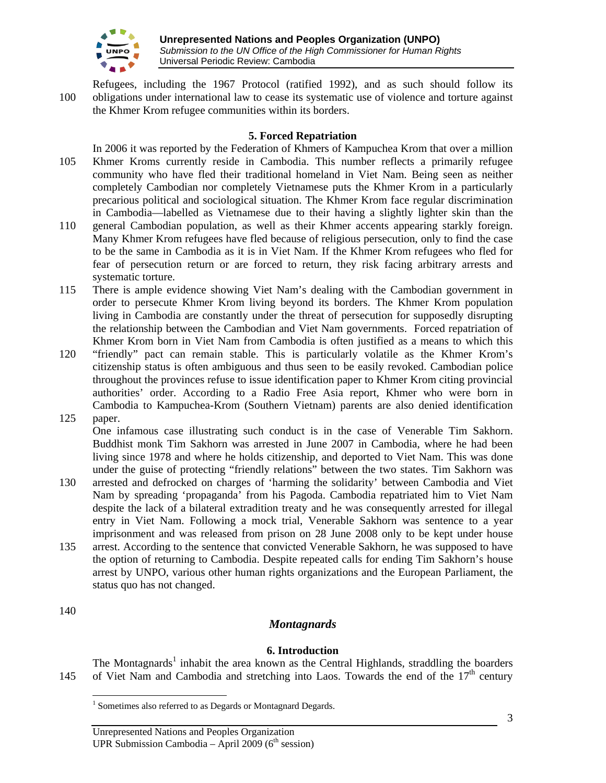

Refugees, including the 1967 Protocol (ratified 1992), and as such should follow its 100 obligations under international law to cease its systematic use of violence and torture against the Khmer Krom refugee communities within its borders.

## **5. Forced Repatriation**

- In 2006 it was reported by the Federation of Khmers of Kampuchea Krom that over a million 105 Khmer Kroms currently reside in Cambodia. This number reflects a primarily refugee community who have fled their traditional homeland in Viet Nam. Being seen as neither completely Cambodian nor completely Vietnamese puts the Khmer Krom in a particularly precarious political and sociological situation. The Khmer Krom face regular discrimination in Cambodia—labelled as Vietnamese due to their having a slightly lighter skin than the
- 110 general Cambodian population, as well as their Khmer accents appearing starkly foreign. Many Khmer Krom refugees have fled because of religious persecution, only to find the case to be the same in Cambodia as it is in Viet Nam. If the Khmer Krom refugees who fled for fear of persecution return or are forced to return, they risk facing arbitrary arrests and systematic torture.
- 115 There is ample evidence showing Viet Nam's dealing with the Cambodian government in order to persecute Khmer Krom living beyond its borders. The Khmer Krom population living in Cambodia are constantly under the threat of persecution for supposedly disrupting the relationship between the Cambodian and Viet Nam governments. Forced repatriation of Khmer Krom born in Viet Nam from Cambodia is often justified as a means to which this
- 120 "friendly" pact can remain stable. This is particularly volatile as the Khmer Krom's citizenship status is often ambiguous and thus seen to be easily revoked. Cambodian police throughout the provinces refuse to issue identification paper to Khmer Krom citing provincial authorities' order. According to a Radio Free Asia report, Khmer who were born in Cambodia to Kampuchea-Krom (Southern Vietnam) parents are also denied identification 125 paper.
	- One infamous case illustrating such conduct is in the case of Venerable Tim Sakhorn. Buddhist monk Tim Sakhorn was arrested in June 2007 in Cambodia, where he had been living since 1978 and where he holds citizenship, and deported to Viet Nam. This was done under the guise of protecting "friendly relations" between the two states. Tim Sakhorn was
- 130 arrested and defrocked on charges of 'harming the solidarity' between Cambodia and Viet Nam by spreading 'propaganda' from his Pagoda. Cambodia repatriated him to Viet Nam despite the lack of a bilateral extradition treaty and he was consequently arrested for illegal entry in Viet Nam. Following a mock trial, Venerable Sakhorn was sentence to a year imprisonment and was released from prison on 28 June 2008 only to be kept under house
- 135 arrest. According to the sentence that convicted Venerable Sakhorn, he was supposed to have the option of returning to Cambodia. Despite repeated calls for ending Tim Sakhorn's house arrest by UNPO, various other human rights organizations and the European Parliament, the status quo has not changed.

### 140

 $\overline{a}$ 

# *Montagnards*

### **6. Introduction**

The Montagnards<sup>1</sup> inhabit the area known as the Central Highlands, straddling the boarders 145 of Viet Nam and Cambodia and stretching into Laos. Towards the end of the  $17<sup>th</sup>$  century

<sup>&</sup>lt;sup>1</sup> Sometimes also referred to as Degards or Montagnard Degards.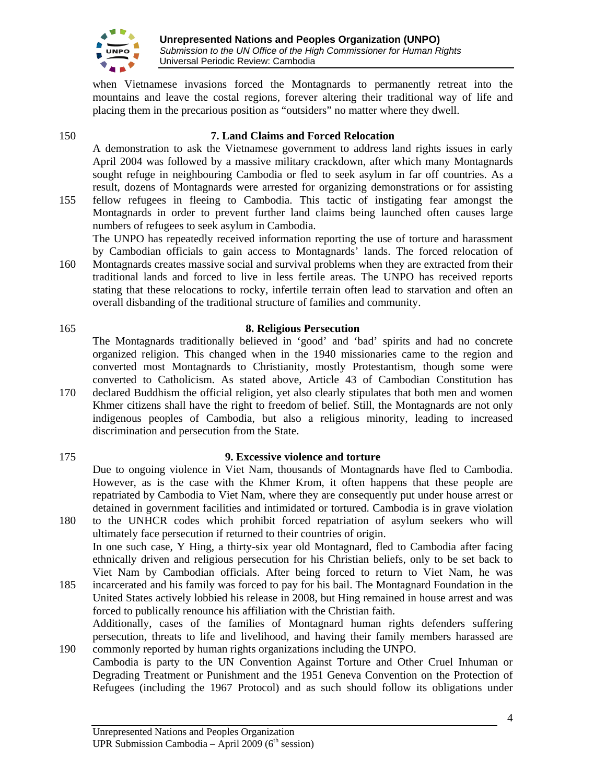

when Vietnamese invasions forced the Montagnards to permanently retreat into the mountains and leave the costal regions, forever altering their traditional way of life and placing them in the precarious position as "outsiders" no matter where they dwell.

## 150 **7. Land Claims and Forced Relocation**

A demonstration to ask the Vietnamese government to address land rights issues in early April 2004 was followed by a massive military crackdown, after which many Montagnards sought refuge in neighbouring Cambodia or fled to seek asylum in far off countries. As a result, dozens of Montagnards were arrested for organizing demonstrations or for assisting 155 fellow refugees in fleeing to Cambodia. This tactic of instigating fear amongst the

- Montagnards in order to prevent further land claims being launched often causes large numbers of refugees to seek asylum in Cambodia. The UNPO has repeatedly received information reporting the use of torture and harassment by Cambodian officials to gain access to Montagnards' lands. The forced relocation of
- 160 Montagnards creates massive social and survival problems when they are extracted from their traditional lands and forced to live in less fertile areas. The UNPO has received reports stating that these relocations to rocky, infertile terrain often lead to starvation and often an overall disbanding of the traditional structure of families and community.

# 165 **8. Religious Persecution**

The Montagnards traditionally believed in 'good' and 'bad' spirits and had no concrete organized religion. This changed when in the 1940 missionaries came to the region and converted most Montagnards to Christianity, mostly Protestantism, though some were converted to Catholicism. As stated above, Article 43 of Cambodian Constitution has

- 170 declared Buddhism the official religion, yet also clearly stipulates that both men and women Khmer citizens shall have the right to freedom of belief. Still, the Montagnards are not only indigenous peoples of Cambodia, but also a religious minority, leading to increased discrimination and persecution from the State.
- 

# 175 **9. Excessive violence and torture**

Due to ongoing violence in Viet Nam, thousands of Montagnards have fled to Cambodia. However, as is the case with the Khmer Krom, it often happens that these people are repatriated by Cambodia to Viet Nam, where they are consequently put under house arrest or detained in government facilities and intimidated or tortured. Cambodia is in grave violation

- 180 to the UNHCR codes which prohibit forced repatriation of asylum seekers who will ultimately face persecution if returned to their countries of origin. In one such case, Y Hing, a thirty-six year old Montagnard, fled to Cambodia after facing ethnically driven and religious persecution for his Christian beliefs, only to be set back to Viet Nam by Cambodian officials. After being forced to return to Viet Nam, he was
- 185 incarcerated and his family was forced to pay for his bail. The Montagnard Foundation in the United States actively lobbied his release in 2008, but Hing remained in house arrest and was forced to publically renounce his affiliation with the Christian faith. Additionally, cases of the families of Montagnard human rights defenders suffering persecution, threats to life and livelihood, and having their family members harassed are
- 190 commonly reported by human rights organizations including the UNPO. Cambodia is party to the UN Convention Against Torture and Other Cruel Inhuman or Degrading Treatment or Punishment and the 1951 Geneva Convention on the Protection of Refugees (including the 1967 Protocol) and as such should follow its obligations under